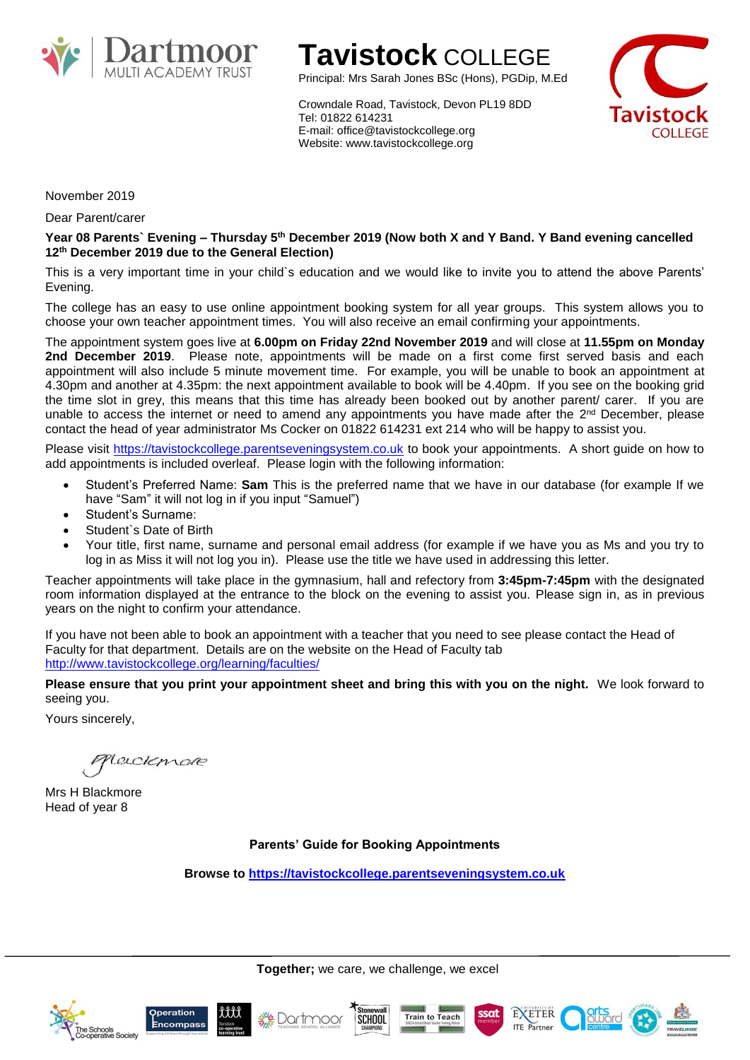

# **Tavistock** COLLEGE

Principal: Mrs Sarah Jones BSc (Hons), PGDip, M.Ed

Crowndale Road, Tavistock, Devon PL19 8DD Tel: 01822 614231 E-mail: office@tavistockcollege.org Website: www.tavistockcollege.org



November 2019

Dear Parent/carer

**Year 08 Parents` Evening – Thursday 5 th December 2019 (Now both X and Y Band. Y Band evening cancelled 12th December 2019 due to the General Election)**

This is a very important time in your child`s education and we would like to invite you to attend the above Parents' Evening.

The college has an easy to use online appointment booking system for all year groups. This system allows you to choose your own teacher appointment times. You will also receive an email confirming your appointments.

The appointment system goes live at **6.00pm on Friday 22nd November 2019** and will close at **11.55pm on Monday 2nd December 2019**. Please note, appointments will be made on a first come first served basis and each appointment will also include 5 minute movement time. For example, you will be unable to book an appointment at 4.30pm and another at 4.35pm: the next appointment available to book will be 4.40pm. If you see on the booking grid the time slot in grey, this means that this time has already been booked out by another parent/ carer. If you are unable to access the internet or need to amend any appointments you have made after the  $2<sup>nd</sup>$  December, please contact the head of year administrator Ms Cocker on 01822 614231 ext 214 who will be happy to assist you.

Please visit [https://tavistockcollege.parentseveningsystem.co.uk](https://tavistockcollege.parentseveningsystem.co.uk/) to book your appointments. A short guide on how to add appointments is included overleaf. Please login with the following information:

- Student's Preferred Name: **Sam** This is the preferred name that we have in our database (for example If we have "Sam" it will not log in if you input "Samuel")
- Student's Surname:
- Student's Date of Birth
- Your title, first name, surname and personal email address (for example if we have you as Ms and you try to log in as Miss it will not log you in). Please use the title we have used in addressing this letter.

Teacher appointments will take place in the gymnasium, hall and refectory from **3:45pm-7:45pm** with the designated room information displayed at the entrance to the block on the evening to assist you. Please sign in, as in previous years on the night to confirm your attendance.

If you have not been able to book an appointment with a teacher that you need to see please contact the Head of Faculty for that department. Details are on the website on the Head of Faculty tab <http://www.tavistockcollege.org/learning/faculties/>

**Please ensure that you print your appointment sheet and bring this with you on the night.** We look forward to seeing you.

Yours sincerely,

Lecolemare

Mrs H Blackmore Head of year 8

**Parents' Guide for Booking Appointments**

**Browse to [https://tavistockcollege.parentseveningsystem.co.uk](https://tavistockcollege.parentseveningsystem.co.uk/)**

**Together;** we care, we challenge, we excel